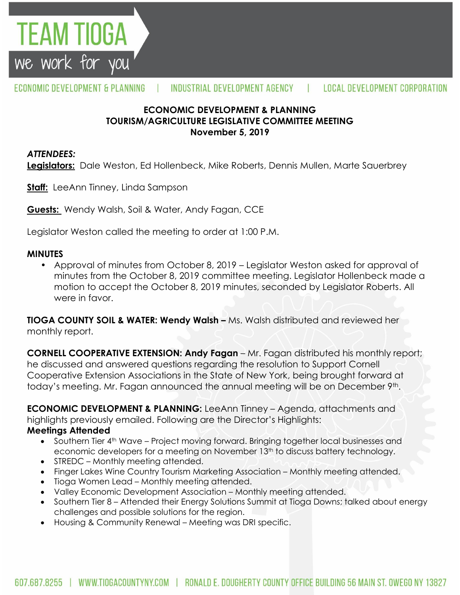

## **ECONOMIC DEVELOPMENT & PLANNING TOURISM/AGRICULTURE LEGISLATIVE COMMITTEE MEETING November 5, 2019**

## *ATTENDEES:*

EAM TIOGA

we work for you

**Legislators:** Dale Weston, Ed Hollenbeck, Mike Roberts, Dennis Mullen, Marte Sauerbrey

**Staff:** LeeAnn Tinney, Linda Sampson

**Guests:** Wendy Walsh, Soil & Water, Andy Fagan, CCE

Legislator Weston called the meeting to order at 1:00 P.M.

### **MINUTES**

• Approval of minutes from October 8, 2019 – Legislator Weston asked for approval of minutes from the October 8, 2019 committee meeting. Legislator Hollenbeck made a motion to accept the October 8, 2019 minutes, seconded by Legislator Roberts. All were in favor.

**TIOGA COUNTY SOIL & WATER: Wendy Walsh –** Ms. Walsh distributed and reviewed her monthly report.

**CORNELL COOPERATIVE EXTENSION: Andy Fagan** – Mr. Fagan distributed his monthly report; he discussed and answered questions regarding the resolution to Support Cornell Cooperative Extension Associations in the State of New York, being brought forward at today's meeting. Mr. Fagan announced the annual meeting will be on December 9th.

**ECONOMIC DEVELOPMENT & PLANNING:** LeeAnn Tinney - Agenda, attachments and highlights previously emailed. Following are the Director's Highlights:

#### **Meetings Attended**

- Southern Tier 4<sup>th</sup> Wave Project moving forward. Bringing together local businesses and economic developers for a meeting on November 13<sup>th</sup> to discuss battery technology.
- STREDC Monthly meeting attended.
- Finger Lakes Wine Country Tourism Marketing Association Monthly meeting attended.
- Tioga Women Lead Monthly meeting attended.
- Valley Economic Development Association Monthly meeting attended.
- Southern Tier 8 Attended their Energy Solutions Summit at Tioga Downs; talked about energy challenges and possible solutions for the region.
- Housing & Community Renewal Meeting was DRI specific.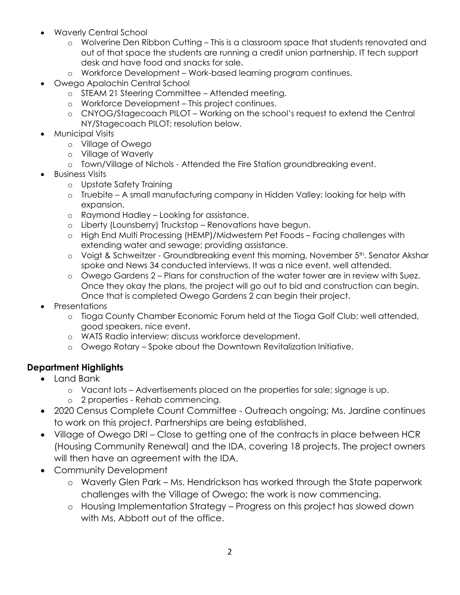- Waverly Central School
	- o Wolverine Den Ribbon Cutting This is a classroom space that students renovated and out of that space the students are running a credit union partnership, IT tech support desk and have food and snacks for sale.
	- o Workforce Development Work-based learning program continues.
- Owego Apalachin Central School
	- o STEAM 21 Steering Committee Attended meeting.
	- o Workforce Development This project continues.
	- o CNYOG/Stagecoach PILOT Working on the school's request to extend the Central NY/Stagecoach PILOT; resolution below.
- Municipal Visits
	- o Village of Owego
	- o Village of Waverly
	- o Town/Village of Nichols Attended the Fire Station groundbreaking event.
- Business Visits
	- o Upstate Safety Training
	- o Truebite A small manufacturing company in Hidden Valley; looking for help with expansion.
	- o Raymond Hadley Looking for assistance.
	- o Liberty (Lounsberry) Truckstop Renovations have begun.
	- o High End Multi Processing (HEMP)/Midwestern Pet Foods Facing challenges with extending water and sewage; providing assistance.
	- $\circ$  Voigt & Schweitzer Groundbreaking event this morning, November  $5<sup>th</sup>$ . Senator Akshar spoke and News 34 conducted interviews. It was a nice event, well attended.
	- o Owego Gardens 2 Plans for construction of the water tower are in review with Suez. Once they okay the plans, the project will go out to bid and construction can begin. Once that is completed Owego Gardens 2 can begin their project.
- **Presentations** 
	- o Tioga County Chamber Economic Forum held at the Tioga Golf Club; well attended, good speakers, nice event.
	- o WATS Radio interview; discuss workforce development.
	- o Owego Rotary Spoke about the Downtown Revitalization Initiative.

# **Department Highlights**

- Land Bank
	- o Vacant lots Advertisements placed on the properties for sale; signage is up.
	- o 2 properties Rehab commencing.
- 2020 Census Complete Count Committee Outreach ongoing; Ms. Jardine continues to work on this project. Partnerships are being established.
- Village of Owego DRI Close to getting one of the contracts in place between HCR (Housing Community Renewal) and the IDA, covering 18 projects. The project owners will then have an agreement with the IDA.
- Community Development
	- o Waverly Glen Park Ms. Hendrickson has worked through the State paperwork challenges with the Village of Owego; the work is now commencing.
	- o Housing Implementation Strategy Progress on this project has slowed down with Ms. Abbott out of the office.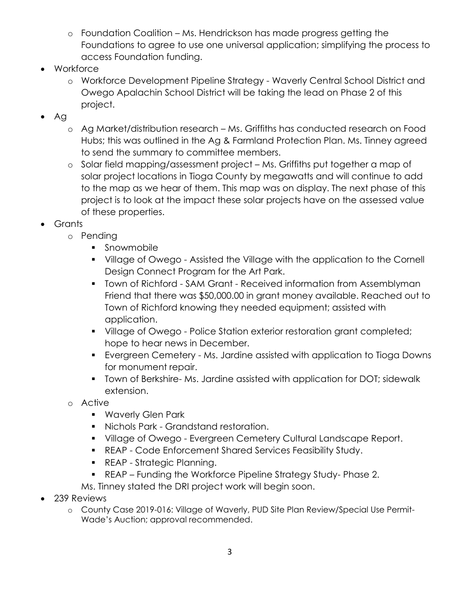- o Foundation Coalition Ms. Hendrickson has made progress getting the Foundations to agree to use one universal application; simplifying the process to access Foundation funding.
- Workforce
	- o Workforce Development Pipeline Strategy Waverly Central School District and Owego Apalachin School District will be taking the lead on Phase 2 of this project.
- $\bullet$  Ag
	- o Ag Market/distribution research Ms. Griffiths has conducted research on Food Hubs; this was outlined in the Ag & Farmland Protection Plan. Ms. Tinney agreed to send the summary to committee members.
	- o Solar field mapping/assessment project Ms. Griffiths put together a map of solar project locations in Tioga County by megawatts and will continue to add to the map as we hear of them. This map was on display. The next phase of this project is to look at the impact these solar projects have on the assessed value of these properties.
- Grants
	- o Pending
		- **Snowmobile**
		- Village of Owego Assisted the Village with the application to the Cornell Design Connect Program for the Art Park.
		- **T** Town of Richford SAM Grant Received information from Assemblyman Friend that there was \$50,000.00 in grant money available. Reached out to Town of Richford knowing they needed equipment; assisted with application.
		- **•** Village of Owego Police Station exterior restoration grant completed; hope to hear news in December.
		- Evergreen Cemetery Ms. Jardine assisted with application to Tioga Downs for monument repair.
		- **Town of Berkshire- Ms. Jardine assisted with application for DOT; sidewalk** extension.
	- o Active
		- **Waverly Glen Park**
		- Nichols Park Grandstand restoration.
		- **Village of Owego Evergreen Cemetery Cultural Landscape Report.**
		- REAP Code Enforcement Shared Services Feasibility Study.
		- **REAP Strategic Planning.**
		- REAP Funding the Workforce Pipeline Strategy Study- Phase 2.

Ms. Tinney stated the DRI project work will begin soon.

- 239 Reviews
	- o County Case 2019-016: Village of Waverly, PUD Site Plan Review/Special Use Permit-Wade's Auction; approval recommended.